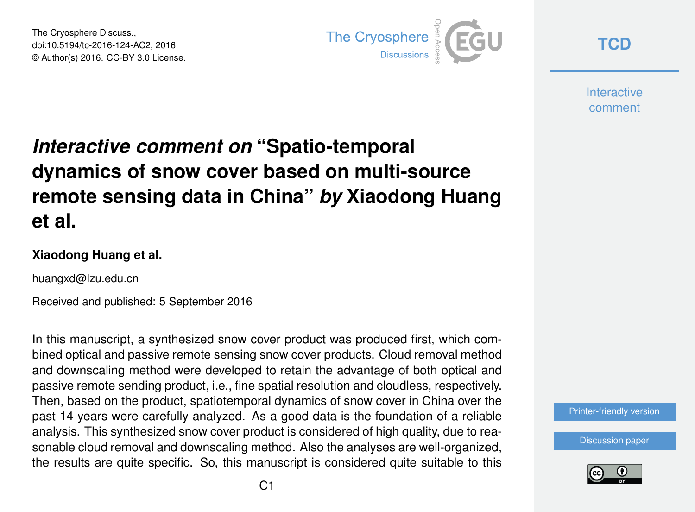The Cryosphere Discuss., doi:10.5194/tc-2016-124-AC2, 2016 © Author(s) 2016. CC-BY 3.0 License.



**[TCD](http://www.the-cryosphere-discuss.net/)**

**Interactive** comment

## *Interactive comment on* **"Spatio-temporal dynamics of snow cover based on multi-source remote sensing data in China"** *by* **Xiaodong Huang et al.**

## **Xiaodong Huang et al.**

huangxd@lzu.edu.cn

Received and published: 5 September 2016

In this manuscript, a synthesized snow cover product was produced first, which combined optical and passive remote sensing snow cover products. Cloud removal method and downscaling method were developed to retain the advantage of both optical and passive remote sending product, i.e., fine spatial resolution and cloudless, respectively. Then, based on the product, spatiotemporal dynamics of snow cover in China over the past 14 years were carefully analyzed. As a good data is the foundation of a reliable analysis. This synthesized snow cover product is considered of high quality, due to reasonable cloud removal and downscaling method. Also the analyses are well-organized, the results are quite specific. So, this manuscript is considered quite suitable to this



[Discussion paper](http://www.the-cryosphere-discuss.net/tc-2016-124)

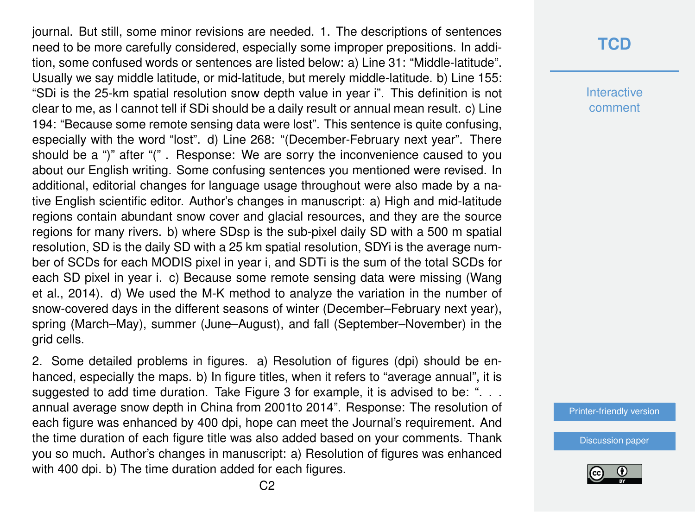journal. But still, some minor revisions are needed. 1. The descriptions of sentences need to be more carefully considered, especially some improper prepositions. In addition, some confused words or sentences are listed below: a) Line 31: "Middle-latitude". Usually we say middle latitude, or mid-latitude, but merely middle-latitude. b) Line 155: "SDi is the 25-km spatial resolution snow depth value in year i". This definition is not clear to me, as I cannot tell if SDi should be a daily result or annual mean result. c) Line 194: "Because some remote sensing data were lost". This sentence is quite confusing, especially with the word "lost". d) Line 268: "(December-February next year". There should be a ")" after "(" . Response: We are sorry the inconvenience caused to you about our English writing. Some confusing sentences you mentioned were revised. In additional, editorial changes for language usage throughout were also made by a native English scientific editor. Author's changes in manuscript: a) High and mid-latitude regions contain abundant snow cover and glacial resources, and they are the source regions for many rivers. b) where SDsp is the sub-pixel daily SD with a 500 m spatial resolution, SD is the daily SD with a 25 km spatial resolution, SDYi is the average number of SCDs for each MODIS pixel in year i, and SDTi is the sum of the total SCDs for each SD pixel in year i. c) Because some remote sensing data were missing (Wang et al., 2014). d) We used the M-K method to analyze the variation in the number of snow-covered days in the different seasons of winter (December–February next year), spring (March–May), summer (June–August), and fall (September–November) in the grid cells.

2. Some detailed problems in figures. a) Resolution of figures (dpi) should be enhanced, especially the maps. b) In figure titles, when it refers to "average annual", it is suggested to add time duration. Take Figure 3 for example, it is advised to be: "... annual average snow depth in China from 2001to 2014". Response: The resolution of each figure was enhanced by 400 dpi, hope can meet the Journal's requirement. And the time duration of each figure title was also added based on your comments. Thank you so much. Author's changes in manuscript: a) Resolution of figures was enhanced with 400 dpi. b) The time duration added for each figures.

## **[TCD](http://www.the-cryosphere-discuss.net/)**

**Interactive** comment

[Printer-friendly version](http://www.the-cryosphere-discuss.net/tc-2016-124/tc-2016-124-AC2-print.pdf)

[Discussion paper](http://www.the-cryosphere-discuss.net/tc-2016-124)

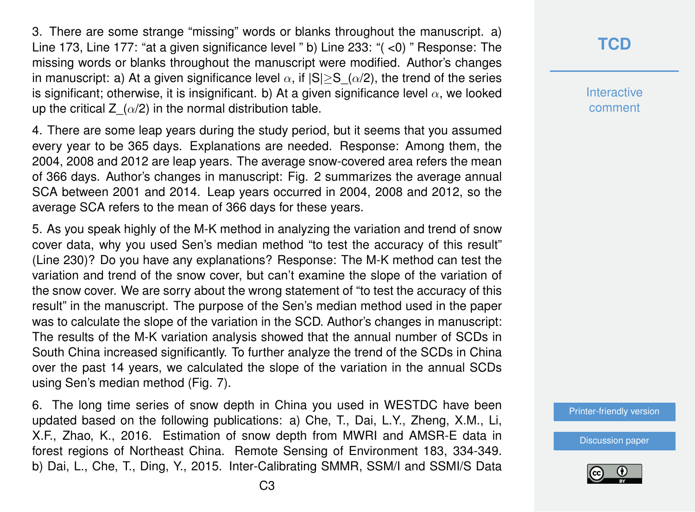3. There are some strange "missing" words or blanks throughout the manuscript. a) Line 173, Line 177: "at a given significance level " b) Line 233: "( <0) " Response: The missing words or blanks throughout the manuscript were modified. Author's changes in manuscript: a) At a given significance level  $\alpha$ , if  $|S| \geq S(\alpha/2)$ , the trend of the series is significant; otherwise, it is insignificant. b) At a given significance level  $\alpha$ , we looked up the critical Z  $(\alpha/2)$  in the normal distribution table.

4. There are some leap years during the study period, but it seems that you assumed every year to be 365 days. Explanations are needed. Response: Among them, the 2004, 2008 and 2012 are leap years. The average snow-covered area refers the mean of 366 days. Author's changes in manuscript: Fig. 2 summarizes the average annual SCA between 2001 and 2014. Leap years occurred in 2004, 2008 and 2012, so the average SCA refers to the mean of 366 days for these years.

5. As you speak highly of the M-K method in analyzing the variation and trend of snow cover data, why you used Sen's median method "to test the accuracy of this result" (Line 230)? Do you have any explanations? Response: The M-K method can test the variation and trend of the snow cover, but can't examine the slope of the variation of the snow cover. We are sorry about the wrong statement of "to test the accuracy of this result" in the manuscript. The purpose of the Sen's median method used in the paper was to calculate the slope of the variation in the SCD. Author's changes in manuscript: The results of the M-K variation analysis showed that the annual number of SCDs in South China increased significantly. To further analyze the trend of the SCDs in China over the past 14 years, we calculated the slope of the variation in the annual SCDs using Sen's median method (Fig. 7).

6. The long time series of snow depth in China you used in WESTDC have been updated based on the following publications: a) Che, T., Dai, L.Y., Zheng, X.M., Li, X.F., Zhao, K., 2016. Estimation of snow depth from MWRI and AMSR-E data in forest regions of Northeast China. Remote Sensing of Environment 183, 334-349. b) Dai, L., Che, T., Ding, Y., 2015. Inter-Calibrating SMMR, SSM/I and SSMI/S Data **[TCD](http://www.the-cryosphere-discuss.net/)**

**Interactive** comment

[Printer-friendly version](http://www.the-cryosphere-discuss.net/tc-2016-124/tc-2016-124-AC2-print.pdf)

[Discussion paper](http://www.the-cryosphere-discuss.net/tc-2016-124)